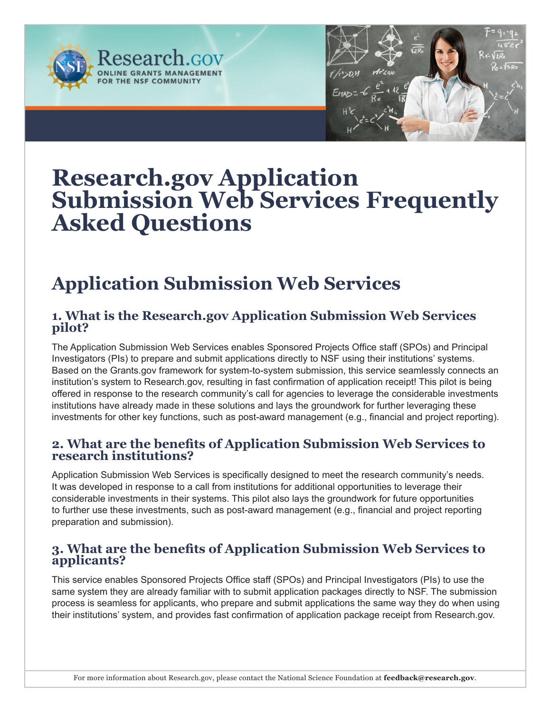



# **Research.gov Application Submission Web Services Frequently Asked Questions**

# **Application Submission Web Services**

## **1. What is the Research.gov Application Submission Web Services pilot?**

The Application Submission Web Services enables Sponsored Projects Office staff (SPOs) and Principal Investigators (PIs) to prepare and submit applications directly to NSF using their institutions' systems. Based on the Grants.gov framework for system-to-system submission, this service seamlessly connects an institution's system to Research.gov, resulting in fast confirmation of application receipt! This pilot is being offered in response to the research community's call for agencies to leverage the considerable investments institutions have already made in these solutions and lays the groundwork for further leveraging these investments for other key functions, such as post-award management (e.g., financial and project reporting).

## **2. What are the benefits of Application Submission Web Services to research institutions?**

Application Submission Web Services is specifically designed to meet the research community's needs. It was developed in response to a call from institutions for additional opportunities to leverage their considerable investments in their systems. This pilot also lays the groundwork for future opportunities to further use these investments, such as post-award management (e.g., financial and project reporting preparation and submission).

## **3. What are the benefits of Application Submission Web Services to applicants?**

This service enables Sponsored Projects Office staff (SPOs) and Principal Investigators (PIs) to use the same system they are already familiar with to submit application packages directly to NSF. The submission process is seamless for applicants, who prepare and submit applications the same way they do when using their institutions' system, and provides fast confirmation of application package receipt from Research.gov.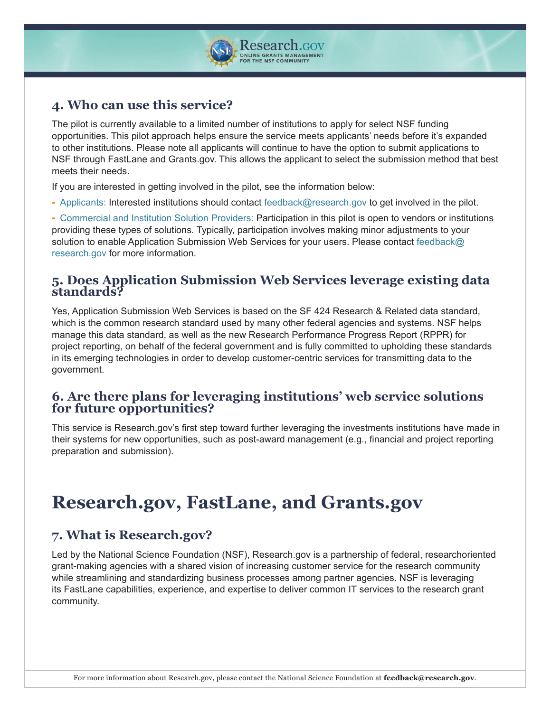

## **4. Who can use this service?**

The pilot is currently available to a limited number of institutions to apply for select NSF funding opportunities. This pilot approach helps ensure the service meets applicants' needs before it's expanded to other institutions. Please note all applicants will continue to have the option to submit applications to NSF through FastLane and Grants.gov. This allows the applicant to select the submission method that best meets their needs.

If you are interested in getting involved in the pilot, see the information below:

- Applicants: Interested institutions should contact feedback@research.gov to get involved in the pilot.

- Commercial and Institution Solution Providers: Participation in this pilot is open to vendors or institutions providing these types of solutions. Typically, participation involves making minor adjustments to your solution to enable Application Submission Web Services for your users. Please contact feedback@ research.gov for more information.

### **5. Does Application Submission Web Services leverage existing data standards?**

Yes, Application Submission Web Services is based on the SF 424 Research & Related data standard, which is the common research standard used by many other federal agencies and systems. NSF helps manage this data standard, as well as the new Research Performance Progress Report (RPPR) for project reporting, on behalf of the federal government and is fully committed to upholding these standards in its emerging technologies in order to develop customer-centric services for transmitting data to the government.

#### **6. Are there plans for leveraging institutions' web service solutions for future opportunities?**

This service is Research.gov's first step toward further leveraging the investments institutions have made in their systems for new opportunities, such as post-award management (e.g., financial and project reporting preparation and submission).

## **Research.gov, FastLane, and Grants.gov**

## **7. What is Research.gov?**

Led by the National Science Foundation (NSF), Research.gov is a partnership of federal, researchoriented grant-making agencies with a shared vision of increasing customer service for the research community while streamlining and standardizing business processes among partner agencies. NSF is leveraging its FastLane capabilities, experience, and expertise to deliver common IT services to the research grant community.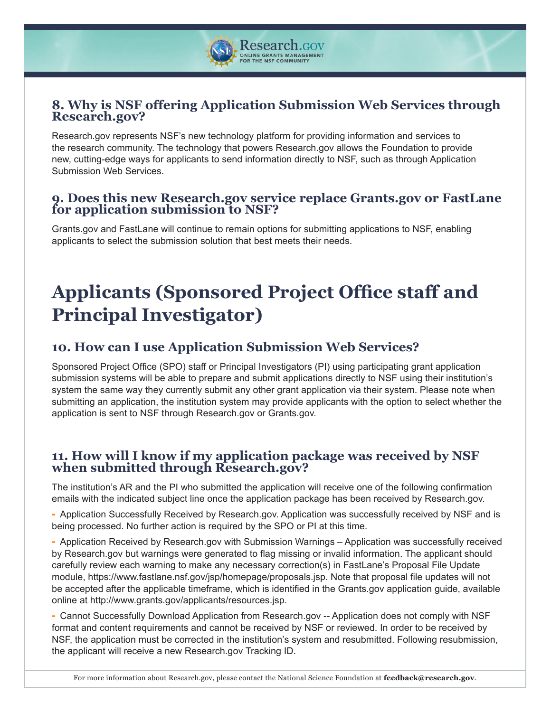

## **8. Why is NSF offering Application Submission Web Services through Research.gov?**

Research.gov represents NSF's new technology platform for providing information and services to the research community. The technology that powers Research.gov allows the Foundation to provide new, cutting-edge ways for applicants to send information directly to NSF, such as through Application Submission Web Services.

#### **9. Does this new Research.gov service replace Grants.gov or FastLane for application submission to NSF?**

Grants.gov and FastLane will continue to remain options for submitting applications to NSF, enabling applicants to select the submission solution that best meets their needs.

# **Applicants (Sponsored Project Office staff and Principal Investigator)**

## **10. How can I use Application Submission Web Services?**

Sponsored Project Office (SPO) staff or Principal Investigators (PI) using participating grant application submission systems will be able to prepare and submit applications directly to NSF using their institution's system the same way they currently submit any other grant application via their system. Please note when submitting an application, the institution system may provide applicants with the option to select whether the application is sent to NSF through Research.gov or Grants.gov.

#### **11. How will I know if my application package was received by NSF when submitted through Research.gov?**

The institution's AR and the PI who submitted the application will receive one of the following confirmation emails with the indicated subject line once the application package has been received by Research.gov.

- Application Successfully Received by Research.gov. Application was successfully received by NSF and is being processed. No further action is required by the SPO or PI at this time.

- Application Received by Research.gov with Submission Warnings – Application was successfully received by Research.gov but warnings were generated to flag missing or invalid information. The applicant should carefully review each warning to make any necessary correction(s) in FastLane's Proposal File Update module, https://www.fastlane.nsf.gov/jsp/homepage/proposals.jsp. Note that proposal file updates will not be accepted after the applicable timeframe, which is identified in the Grants.gov application guide, available online at http://www.grants.gov/applicants/resources.jsp.

- Cannot Successfully Download Application from Research.gov -- Application does not comply with NSF format and content requirements and cannot be received by NSF or reviewed. In order to be received by NSF, the application must be corrected in the institution's system and resubmitted. Following resubmission, the applicant will receive a new Research.gov Tracking ID.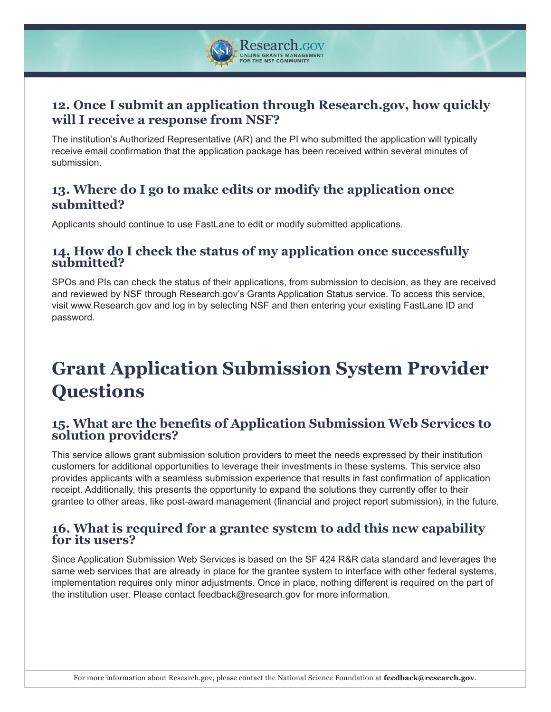

## **12. Once I submit an application through Research.gov, how quickly will I receive a response from NSF?**

The institution's Authorized Representative (AR) and the PI who submitted the application will typically receive email confirmation that the application package has been received within several minutes of submission.

## **13. Where do I go to make edits or modify the application once submitted?**

Applicants should continue to use FastLane to edit or modify submitted applications.

## **14. How do I check the status of my application once successfully submitted?**

SPOs and PIs can check the status of their applications, from submission to decision, as they are received and reviewed by NSF through Research.gov's Grants Application Status service. To access this service, visit www.Research.gov and log in by selecting NSF and then entering your existing FastLane ID and password.

## **Grant Application Submission System Provider Questions**

#### **15. What are the benefits of Application Submission Web Services to solution providers?**

This service allows grant submission solution providers to meet the needs expressed by their institution customers for additional opportunities to leverage their investments in these systems. This service also provides applicants with a seamless submission experience that results in fast confirmation of application receipt. Additionally, this presents the opportunity to expand the solutions they currently offer to their grantee to other areas, like post-award management (financial and project report submission), in the future.

#### **16. What is required for a grantee system to add this new capability for its users?**

Since Application Submission Web Services is based on the SF 424 R&R data standard and leverages the same web services that are already in place for the grantee system to interface with other federal systems, implementation requires only minor adjustments. Once in place, nothing different is required on the part of the institution user. Please contact feedback@research.gov for more information.